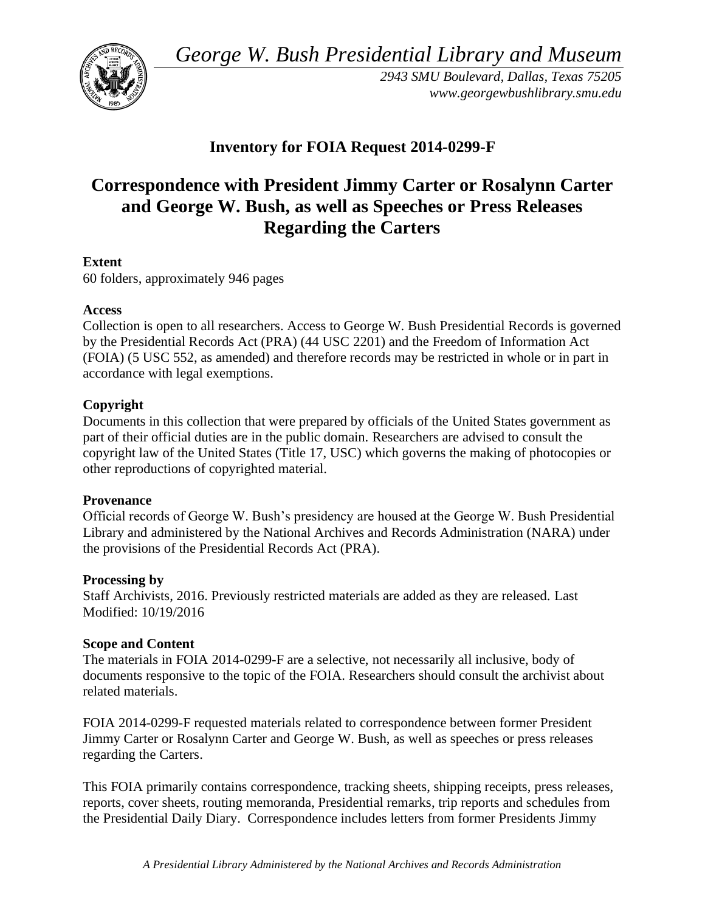*George W. Bush Presidential Library and Museum* 



*2943 SMU Boulevard, Dallas, Texas 75205 <www.georgewbushlibrary.smu.edu>* 

## **Inventory for FOIA Request 2014-0299-F**

# **Correspondence with President Jimmy Carter or Rosalynn Carter and George W. Bush, as well as Speeches or Press Releases Regarding the Carters**

## **Extent**

60 folders, approximately 946 pages

## **Access**

Collection is open to all researchers. Access to George W. Bush Presidential Records is governed by the Presidential Records Act (PRA) (44 USC 2201) and the Freedom of Information Act (FOIA) (5 USC 552, as amended) and therefore records may be restricted in whole or in part in accordance with legal exemptions.

## **Copyright**

 Documents in this collection that were prepared by officials of the United States government as part of their official duties are in the public domain. Researchers are advised to consult the copyright law of the United States (Title 17, USC) which governs the making of photocopies or other reproductions of copyrighted material.

## **Provenance**

Official records of George W. Bush's presidency are housed at the George W. Bush Presidential Library and administered by the National Archives and Records Administration (NARA) under the provisions of the Presidential Records Act (PRA).

## **Processing by**

Staff Archivists, 2016. Previously restricted materials are added as they are released. Last Modified: 10/19/2016

## **Scope and Content**

 documents responsive to the topic of the FOIA. Researchers should consult the archivist about The materials in FOIA 2014-0299-F are a selective, not necessarily all inclusive, body of related materials.

FOIA 2014-0299-F requested materials related to correspondence between former President Jimmy Carter or Rosalynn Carter and George W. Bush, as well as speeches or press releases regarding the Carters.

This FOIA primarily contains correspondence, tracking sheets, shipping receipts, press releases, reports, cover sheets, routing memoranda, Presidential remarks, trip reports and schedules from the Presidential Daily Diary. Correspondence includes letters from former Presidents Jimmy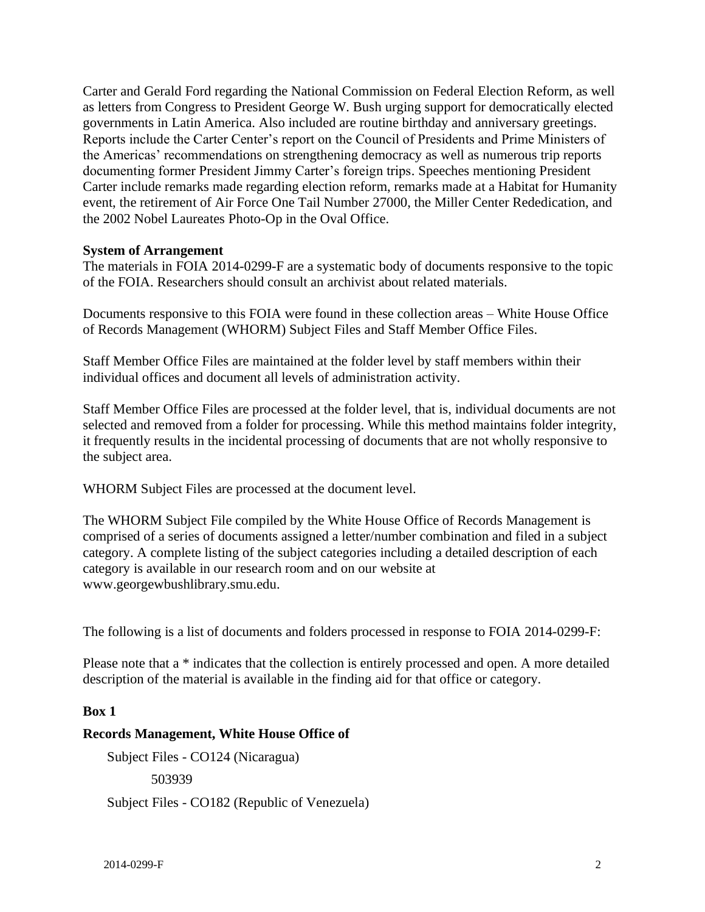as letters from Congress to President George W. Bush urging support for democratically elected Carter and Gerald Ford regarding the National Commission on Federal Election Reform, as well governments in Latin America. Also included are routine birthday and anniversary greetings. Reports include the Carter Center's report on the Council of Presidents and Prime Ministers of the Americas' recommendations on strengthening democracy as well as numerous trip reports documenting former President Jimmy Carter's foreign trips. Speeches mentioning President Carter include remarks made regarding election reform, remarks made at a Habitat for Humanity event, the retirement of Air Force One Tail Number 27000, the Miller Center Rededication, and the 2002 Nobel Laureates Photo-Op in the Oval Office.

#### **System of Arrangement**

 The materials in FOIA 2014-0299-F are a systematic body of documents responsive to the topic of the FOIA. Researchers should consult an archivist about related materials.

Documents responsive to this FOIA were found in these collection areas – White House Office of Records Management (WHORM) Subject Files and Staff Member Office Files.

 Staff Member Office Files are maintained at the folder level by staff members within their individual offices and document all levels of administration activity.

Staff Member Office Files are processed at the folder level, that is, individual documents are not selected and removed from a folder for processing. While this method maintains folder integrity, it frequently results in the incidental processing of documents that are not wholly responsive to the subject area.

WHORM Subject Files are processed at the document level.

 The WHORM Subject File compiled by the White House Office of Records Management is comprised of a series of documents assigned a letter/number combination and filed in a subject category. A complete listing of the subject categories including a detailed description of each category is available in our research room and on our website at <www.georgewbushlibrary.smu.edu>.

The following is a list of documents and folders processed in response to FOIA 2014-0299-F:

Please note that a \* indicates that the collection is entirely processed and open. A more detailed description of the material is available in the finding aid for that office or category.

#### **Box 1**

#### **Records Management, White House Office of**

 Subject Files - CO124 (Nicaragua) Subject Files - CO182 (Republic of Venezuela) 503939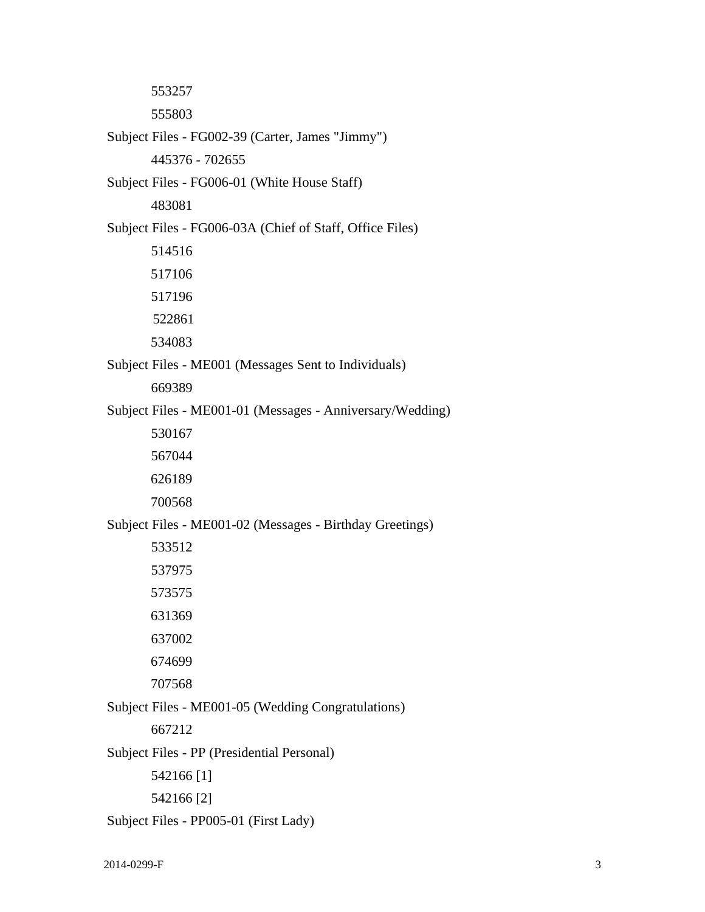Subject Files - FG002-39 (Carter, James "Jimmy") Subject Files - FG006-01 (White House Staff) Subject Files - FG006-03A (Chief of Staff, Office Files) Subject Files - ME001 (Messages Sent to Individuals) Subject Files - ME001-01 (Messages - Anniversary/Wedding) Subject Files - ME001-02 (Messages - Birthday Greetings) Subject Files - ME001-05 (Wedding Congratulations) Subject Files - PP (Presidential Personal) Subject Files - PP005-01 (First Lady) 445376 - 702655 542166 [1] 542166 [2]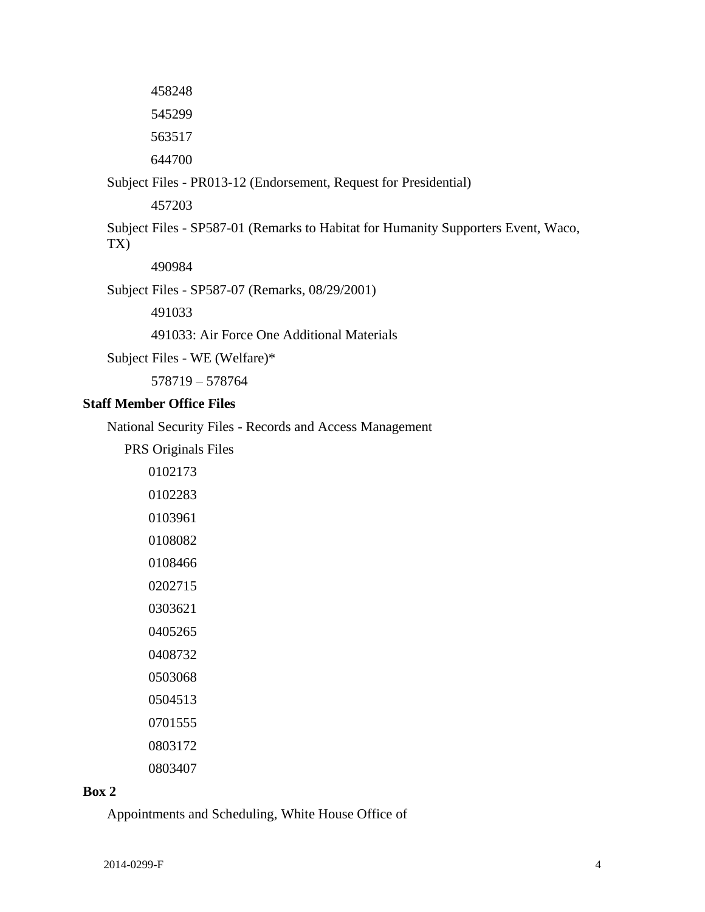Subject Files - PR013-12 (Endorsement, Request for Presidential)

 Subject Files - SP587-01 (Remarks to Habitat for Humanity Supporters Event, Waco, TX)

Subject Files - SP587-07 (Remarks, 08/29/2001)

491033: Air Force One Additional Materials

Subject Files - WE (Welfare)\*

578719 – 578764

#### **Staff Member Office Files**

National Security Files - Records and Access Management

PRS Originals Files

| 0102173 |
|---------|
| 0102283 |
| 0103961 |
| 0108082 |
| 0108466 |
| 0202715 |
| 0303621 |
| 0405265 |
| 0408732 |
| 0503068 |
| 0504513 |
| 0701555 |
| 0803172 |
| 0803407 |

#### **Box 2**

Appointments and Scheduling, White House Office of